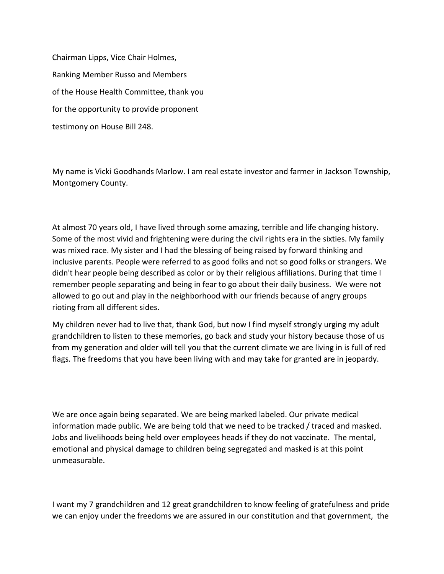Chairman Lipps, Vice Chair Holmes, Ranking Member Russo and Members of the House Health Committee, thank you for the opportunity to provide proponent testimony on House Bill 248.

My name is Vicki Goodhands Marlow. I am real estate investor and farmer in Jackson Township, Montgomery County.

At almost 70 years old, I have lived through some amazing, terrible and life changing history. Some of the most vivid and frightening were during the civil rights era in the sixties. My family was mixed race. My sister and I had the blessing of being raised by forward thinking and inclusive parents. People were referred to as good folks and not so good folks or strangers. We didn't hear people being described as color or by their religious affiliations. During that time I remember people separating and being in fear to go about their daily business. We were not allowed to go out and play in the neighborhood with our friends because of angry groups rioting from all different sides.

My children never had to live that, thank God, but now I find myself strongly urging my adult grandchildren to listen to these memories, go back and study your history because those of us from my generation and older will tell you that the current climate we are living in is full of red flags. The freedoms that you have been living with and may take for granted are in jeopardy.

We are once again being separated. We are being marked labeled. Our private medical information made public. We are being told that we need to be tracked / traced and masked. Jobs and livelihoods being held over employees heads if they do not vaccinate. The mental, emotional and physical damage to children being segregated and masked is at this point unmeasurable.

I want my 7 grandchildren and 12 great grandchildren to know feeling of gratefulness and pride we can enjoy under the freedoms we are assured in our constitution and that government, the